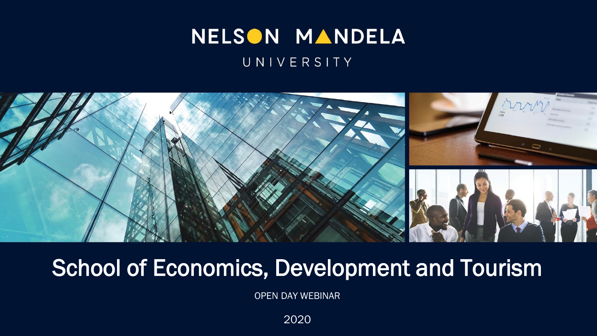#### NELSON MANDELA UNIVERSITY



#### School of Economics, Development and Tourism

OPEN DAY WEBINAR

2020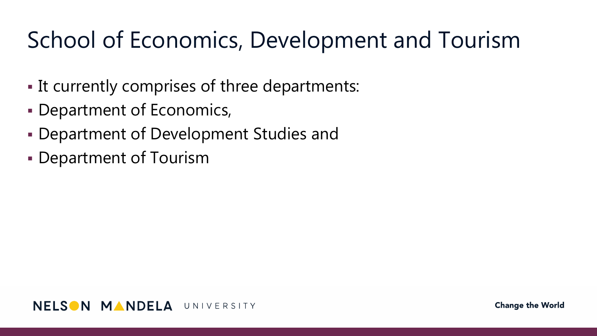#### School of Economics, Development and Tourism

- It currently comprises of three departments:
- Department of Economics,
- Department of Development Studies and
- Department of Tourism

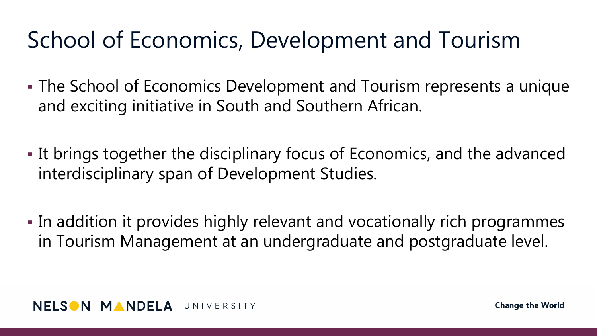#### School of Economics, Development and Tourism

- The School of Economics Development and Tourism represents a unique and exciting initiative in South and Southern African.
- If brings together the disciplinary focus of Economics, and the advanced interdisciplinary span of Development Studies.
- In addition it provides highly relevant and vocationally rich programmes in Tourism Management at an undergraduate and postgraduate level.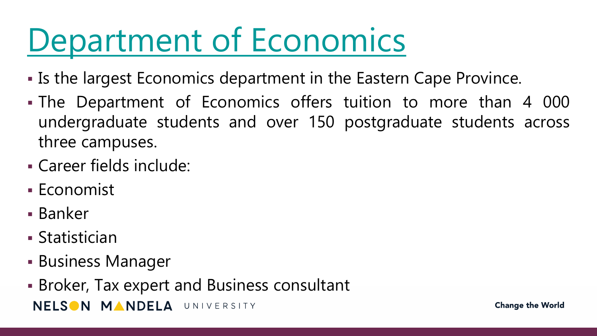# [Department of Economics](http://www.nmmu.ac.za/economics)

- If the largest Economics department in the Eastern Cape Province.
- The Department of Economics offers tuition to more than 4 000 undergraduate students and over 150 postgraduate students across three campuses.
- Career fields include:
- Economist
- Banker
- Statistician
- **Business Manager**
- Broker, Tax expert and Business consultantNELSON MANDELA UNIVERSITY

**Change the World**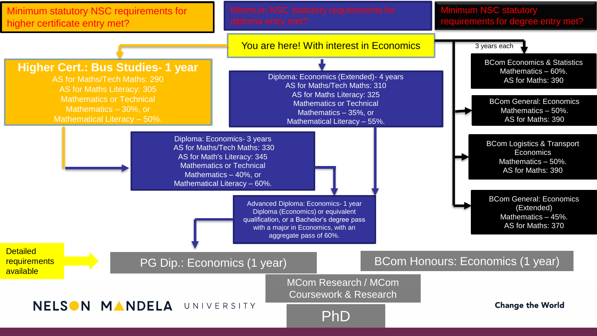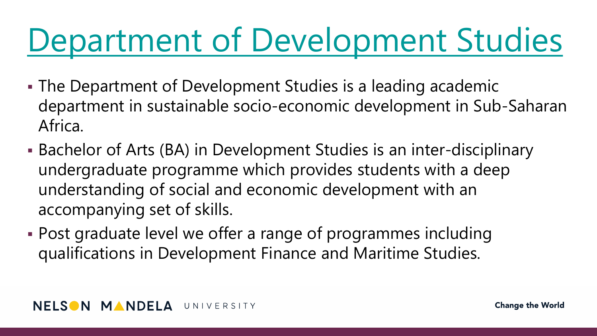# [Department of Development Studies](http://www.nmmu.ac.za/devstudies)

- The Department of Development Studies is a leading academic department in sustainable socio-economic development in Sub-Saharan Africa.
- Bachelor of Arts (BA) in Development Studies is an inter-disciplinary undergraduate programme which provides students with a deep understanding of social and economic development with an accompanying set of skills.
- Post graduate level we offer a range of programmes including qualifications in Development Finance and Maritime Studies.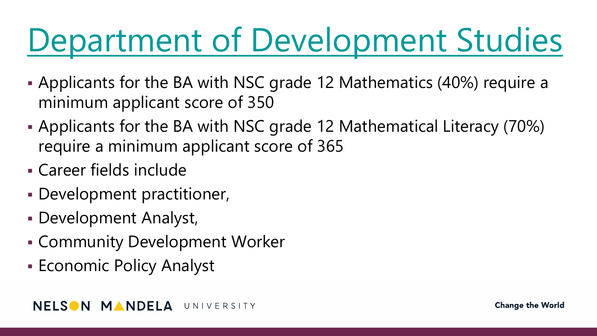# [Department of Development Studies](http://www.nmmu.ac.za/devstudies)

- Applicants for the BA with NSC grade 12 Mathematics (40%) require a minimum applicant score of 350
- Applicants for the BA with NSC grade 12 Mathematical Literacy (70%) require a minimum applicant score of 365
- Career fields include
- Development practitioner,
- Development Analyst,
- Community Development Worker
- **Economic Policy Analyst**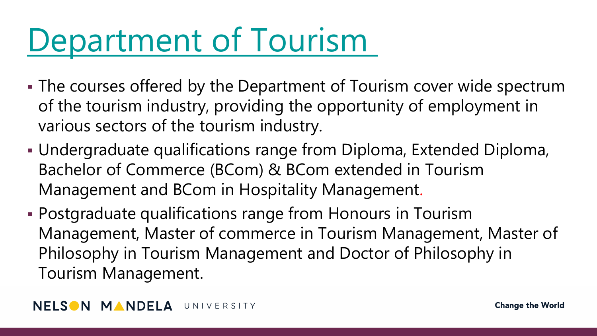## [Department of Tourism](http://www.nmmu.ac.za/tourman)

- The courses offered by the Department of Tourism cover wide spectrum of the tourism industry, providing the opportunity of employment in various sectors of the tourism industry.
- Undergraduate qualifications range from Diploma, Extended Diploma, Bachelor of Commerce (BCom) & BCom extended in Tourism Management and BCom in Hospitality Management.
- Postgraduate qualifications range from Honours in Tourism Management, Master of commerce in Tourism Management, Master of Philosophy in Tourism Management and Doctor of Philosophy in Tourism Management.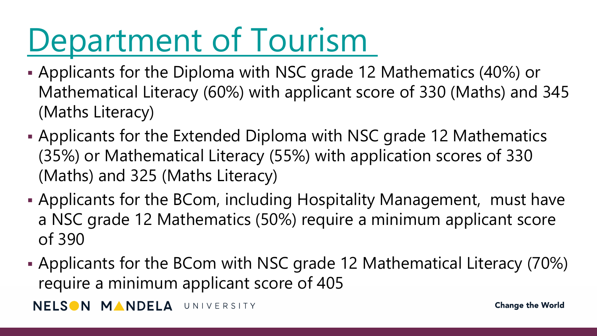# [Department of Tourism](http://www.nmmu.ac.za/tourman)

- Applicants for the Diploma with NSC grade 12 Mathematics (40%) or Mathematical Literacy (60%) with applicant score of 330 (Maths) and 345 (Maths Literacy)
- Applicants for the Extended Diploma with NSC grade 12 Mathematics (35%) or Mathematical Literacy (55%) with application scores of 330 (Maths) and 325 (Maths Literacy)
- Applicants for the BCom, including Hospitality Management, must have a NSC grade 12 Mathematics (50%) require a minimum applicant score of 390
- Applicants for the BCom with NSC grade 12 Mathematical Literacy (70%) require a minimum applicant score of 405

NELSON MANDELA UNIVERSITY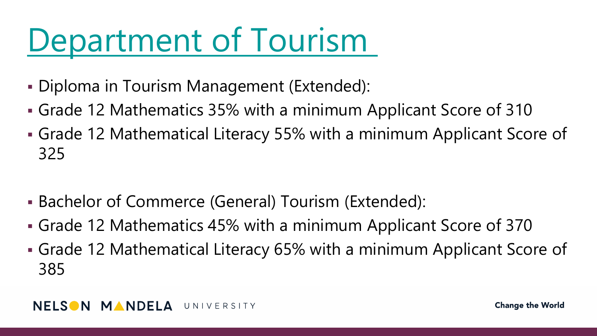### [Department of Tourism](http://www.nmmu.ac.za/tourman)

- Diploma in Tourism Management (Extended):
- Grade 12 Mathematics 35% with a minimum Applicant Score of 310
- Grade 12 Mathematical Literacy 55% with a minimum Applicant Score of 325
- Bachelor of Commerce (General) Tourism (Extended):
- Grade 12 Mathematics 45% with a minimum Applicant Score of 370
- Grade 12 Mathematical Literacy 65% with a minimum Applicant Score of 385